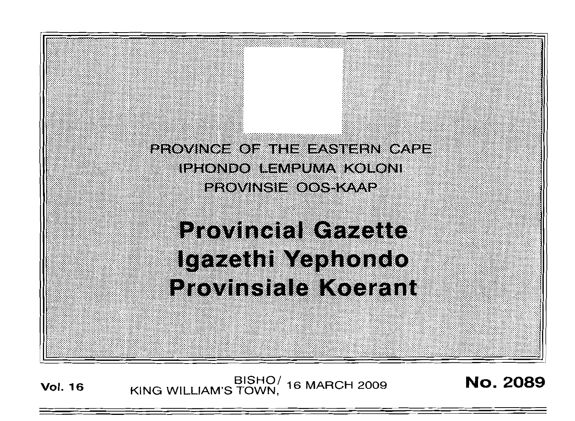

**Vol. <sup>16</sup>** BISHO/ KING WILLIAM'S TOWN, <sup>16</sup> MARCH <sup>2009</sup> No. 2089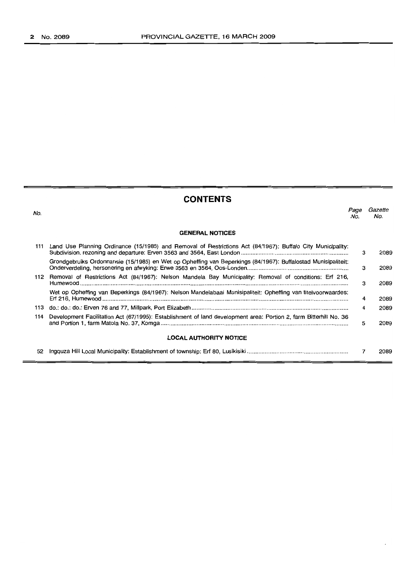| <b>CONTENTS</b> |                                                                                                                   |             |                |
|-----------------|-------------------------------------------------------------------------------------------------------------------|-------------|----------------|
| No.             |                                                                                                                   | Page<br>No. | Gazette<br>No. |
|                 | <b>GENERAL NOTICES</b>                                                                                            |             |                |
|                 | 111 Land Use Planning Ordinance (15/1985) and Removal of Restrictions Act (84/1967): Buffalo City Municipality:   | 3           | 2089           |
|                 | Grondgebruiks Ordonnansie (15/1985) en Wet op Opheffing van Beperkings (84/1967): Buffalostad Munisipaliteit:     | 3           | 2089           |
|                 | 112 Removal of Restrictions Act (84/1967): Nelson Mandela Bay Municipality: Removal of conditions: Erf 216,       | 3           | 2089           |
|                 | Wet op Opheffing van Beperkings (84/1967): Nelson Mandelabaai Munisipaliteit: Opheffing van titelvoorwaardes:     | 4           | 2089           |
| 113             |                                                                                                                   | 4           | 2089           |
| 114             | Development Facilitation Act (67/1995): Establishment of land development area: Portion 2, farm Bitterhill No. 36 | 5           | 2089           |
|                 | <b>LOCAL AUTHORITY NOTICE</b>                                                                                     |             |                |
| 52              |                                                                                                                   |             | 2089           |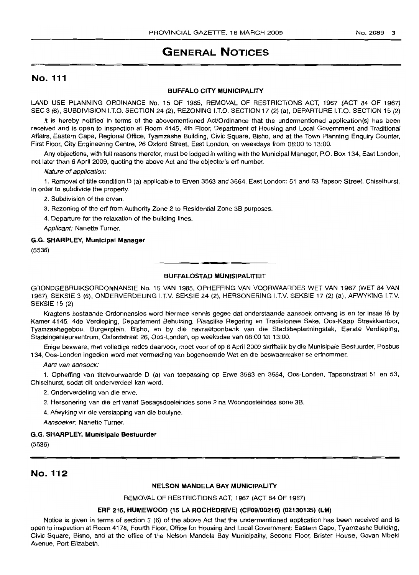# **GENERAL NOTICES**

# No. 111

#### BUFFALO CITY MUNICIPALITY

LAND USE PLANNING ORDINANCE No. 15 OF 1985, REMOVAL OF RESTRICTIONS ACT, 1967 (ACT 84 OF 1967) SEC 3 (6), SUBDIVISION !.T.O. SECTION 24 (2), REZONING I.T.O. SECTION 17 (2) (a), DEPARTURE I.T.O. SECTION 15 (2)

It is hereby notified in terms of the abovementioned Act/Ordinance that the undermentioned application(s) has been received and is open to inspection at Room 4145, 4th Floor, Department of Housing and Local Government and Traditional Affairs, Eastern Cape, Regional Office, Tyamzashe Building, Civic Square, Bisho, and at the Town Planning Enquiry Counter, First Floor, City Engineering Centre, 26 Oxford Street, East London, on weekdays from 08:00 to 13:00.

Any objections, with full reasons therefor, must be lodged in writing with the Municipal Manager, P.O. Box 134, East London, not later than 6 April 2009, quoting the above Act and the objector's erf number.

Nature of application:

1. Removal of title condition D (a) applicable to Erven 3563 and 3564, East London: 51 and 53 Tapson Street, Chiselhurst, in order to subdivide the property.

2. Subdivision of the erven.

3. Rezoning of the erf from Authority Zone 2 to Residential Zone 3B purposes.

4. Departure for the relaxation of the building lines.

Applicant: Nanette Turner.

#### G.G. SHARPLEY, Municipal Manager

(5536)

### BUFFALOSTAD MUNISIPALITEIT

**• I**

GRONDGEBRUIKSORDONNANSIE No. 15 VAN 1985, OPHEFFING VAN VOORWAARDES WET VAN 1967 (WET 84 VAN 1967), SEKSIE 3 (6), ONDERVERDELING I.T.V. SEKSIE 24 (2), HERSONERING I.T.V. SEKSIE 17 (2) (a), AFWYKING I.T.V. SEKSIE 15 (2)

Kragtens bostaande Ordonnansies word hiermee kennis gegee dat onderstaande aansoek ontvang is en ter insae Iê by Kamer 4145, 4de Verdieping, Departement Behuising, Plaaslike Regering en Tradisionele Sake, Oos-Kaap Streekkantoor, Tyamzashegebou, Burgerplein, Bisho, en by die navraetoonbank van die Stadsbeplanningstak, Eerste Verdieping, Stadsingenieursentrum, Oxfordstraat 26, Oos-Londen, op weeksdae van 08:00 tot 13:00.

Enige besware, met volledige redes daarvoor, moet voor of op 6 April 2009 skriftelik by die Munisipale Bestuurder, Posbus 134, Oos-Londen ingedien word met vermelding van bogenoemde Wet en die beswaarmaker se erfnommer.

Aard van aansoek:

1. Opheffing van titelvoorwaarde D (a) van toepassing op Erwe 3563 en 3564, Oos-Londen, Tapsonstraat 51 en 53, Chiselhurst, sodat dit onderverdeel kan word.

2. Onderverdeling van die erwe.

3. Hersonering van die erf vanaf Gesagsdoeleindes sone 2 na Woondoeleindes sone 3B.

4. Afwyking vir die verslapping van die boulyne.

Aansoeker: Nanette Turner.

#### G.G. SHARPLEY, Munisipale Bestuurder

(5536)

# No. 112

#### NELSON MANDELA BAY MUNICIPALITY

REMOVAL OF RESTRICTIONS ACT, 1967 (ACT 84 OF 1967)

#### ERF 216, HUMEWOOD (15 LA ROCHEDRIVE) (CF09/00216) (02130135) (LM)

Notice is given in terms of section 3 (6) of the above Act that the undermentioned application has been received and is open to inspection at Room 4178, Fourth Floor, Office for Housing and Local Government: Eastern Cape, Tyamzashe Building, Civic Square, Bisho, and at the office of the Nelson Mandela Bay Municipality, Second Floor, Brister House, Govan Mbeki Avenue, Port Elizabeth.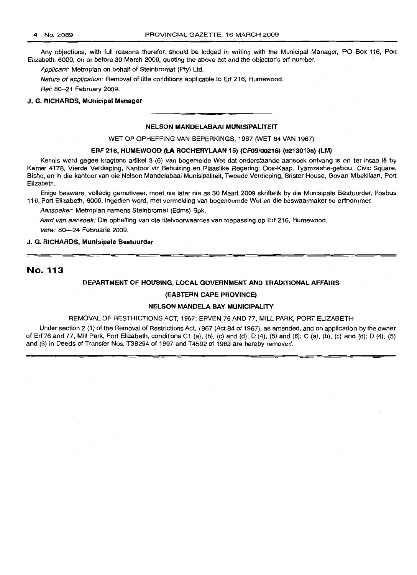Any objections, with full reasons therefor, should be lodged in writing with the Municipal Manager, PO Box 116, Port Elizabeth, 6000, on or before 30 March 2009, quoting the above act and the objector's ert number.

Applicant: Metroplan on behalf of Steinbromat (Pty) Ltd.

Nature of application: Removal of title conditions applicable to Erf 216, Humewood.

Ref: 80-24 February 2009.

#### J. G. RICHARDS, Municipal Manager

# **•** NELSON MANDELABAAI MUNISIPALITEIT

WET OP OPHEFFING VAN BEPERKINGS, 1967 (WET 84 VAN 1967)

#### ERF 216, HUMEWOOO (LA ROCHERYLAAN 15) (CF09/0021S) (02130135) (LM)

Kennis word gegee kragtens artikel 3 (6) van bogemelde Wet dat onderstaande aansoek ontvang is en ter insae lê by Kamer 4178, Vierde Verdieping, Kantoor vir Behuising en Plaaslike Regering: Oos-Kaap, Tyamzashe-gebou, Civic Square, Bisho, en in die kantoor van die Nelson Mandelabaai Munisipaliteit, Tweede Verdieping, Brister House, Govan Mbekilaan, Port Elizabeth.

Enige besware, volledig gemotiveer, moet nie later nie as 30 Maart 2009 skriftelik by die Munisipale Bestuurder, Posbus 116, Port Elizabeth, 6000, ingedien word, met vermelding van bogenoemde Wet en die beswaarmaker se erfnommer.

Aansoeker: Metroplan namens Steinbromat (Edms) Bpk.

Aard van aansoek: Die opheffing van die titelvoorwaardes van toepassing op Ert 216, Humewood.

Verw: 80-24 Februarie 2009.

#### J. G. RICHARDS, Munisipale Bestuurder

## **No.113**

#### DEPARTMENT OF HOUSING, LOCAL GOVERNMENT AND TRADITIONAL AFFAIRS

#### (EASTERN CAPE PROVINCE)

#### NELSON MANDELA BAY MUNICIPALITY

#### REMOVAL OF RESTRICTIONS ACT, 1967: ERVEN 76 AND 77, MILL PARK, PORT ELIZABETH

Under section 2 (1) of the Removal of Restrictions Act, 1967 (Act 84 of 1967), as amended, and on application by the owner of Ert 76 and 77, Mill Park, Port Elizabeth, conditions C1 (a), (b), (c) and (d); 0 (4), (5) and (6); C (a), (b), (c) and (d); D (4), (5) and (6) in Deeds of Transfer Nos. T38294 of 1997 and T4592 of 1989 are hereby removed.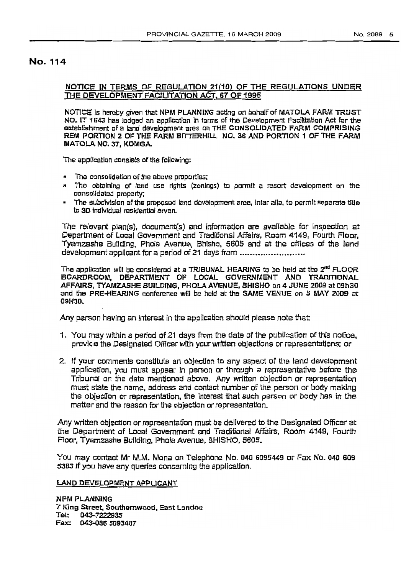## No. 114

## NOTICE IN TERMS OF REGULATION 21(10) OF THE REGULATIONS UNDER THE DEVELOPMENT FACILITATION ACT, 67 OF 1995

NOTICE is hereby given that NPM PLANNING acting on behalf of MATOLA FARM TRUST NO. IT 1643 has lodged an application in terms of the Development Facilitation Act for the establishment of a land development area on THE CONSOLIDATED FARM COMPRISING REM PORTION 2 OF THE FARM BITTERHILL NO, 36 AND PORTION 1 OF THE FARM MATOLA NO. 37, KOMGA.

The application consists of the following:

- $\blacksquare$  The consolidation of the above properties;
- \* The obtaining of land use rights (zonings) to permit a resort development on the consolidated property;
- .. The subdivision of the proposed land development area, inter alia, to permit separate tItle to 30 Individual residential erven,

The relevant plan(s), document{s) and Information are available for Inspection at Department of Local Govemment and Traditional Affairs, Room 4149, Fourth Floor, Tyarnzashe Building, Phola Avenue, Shisho, 5605 and at the offices of the land development applicant for a period of 21 days from .............................

The application will be considered at a TRIBUNAL HEARING to be held at the  $2<sup>nd</sup>$  FLOOR BOARDROOM. DEPARTMENT OF LOCAL GOVERNMENT AND TRADITIONAL AFFAIRS, TYAMZASHE BUILDING, PHOLA AVENUE, BHISHO *on* 4 JUNE 2009 at 09h30 and the PRE-HEARING conference will be held at the SAME VENUE on 5 MAY 2009 at 09H30.

Any person having an interest in the application should please note that

- 1. You may within a period of 21 days from the date of the publication of this notice, provide the Designated Offlcerwfth your written objections or representations; or
- 2. If your comments constitute an objection to any aspect of the land development appllcatlon, you must appear in person or through a representative before the Tribunal on the date mentioned above. Any written objection or representation must state the name, address and contact number of the person or body making the objection or representation, the interest that such person or body has in the matter and the reason fer the objection or representation. .

Any written objection or representation must be delivered to the Designated Officer at the Department of Local Government and Traditional Affairs, Room 4149, Fourth Floor, Tyamzashe Building, Phola Avenue, BHISHO, 5605.

You may contact Mr M.M. Mona on Telephone No. 040 6095449 or Fax. No. 040 609 5383 If you have any queries concerning the application.

#### LAND DEVELOPMENT APpLICANT

NPM PLANNING 7 King Street, Southomwood, East London<br>Tel: 043–7222935 D43-7222935 Fax: 043-086 5093487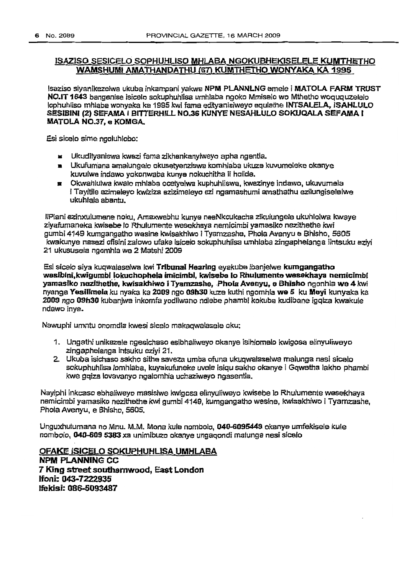## ISAZISO SESICELO SOPHUHUSO MHLABA NGOKUBHEKfSELELE\_KUMTHETHO WAMSHUMI AMATHANDATHU (67) KUMTHETHO WONYAKA KA 1995

lsaziso slyanlkezelwa ukuba lnkampanl yakwa NPM PLANNLNG emele i MATOLA. FARM 'TRUST NO.IT 1643 hangenisa isice/o sckuphuhllsa umhlaba ngoko Mmiselo wo Mthetho woququzelelo lophuhliso mhlaba wonyaka ka 1995 kwi fama edityanisiweyo equlathe INTSALELA, ISAHLULO SESIBINI (2) SEFAMA I BITTERHILL NO.36 KUNYE NESAHLULO SOKUQALA SEFAMA I MATOLA NO.37. e KOMGA.

Esi slcalo sima ngcluhlobo:

- $\equiv$  Ukudityaniswa kwezi fama zikhankanyiweyo apha ngentla.
- Ukufum·ana amalungelo okusetyenziswa kcmhlaba ukuze kuvumaleke okanye kuvulwa indawo yolconwaba kunye nckuehltha ii holide.
- Okwahlulwa kwa/o mhlaba ocetyelwa kuphuhllswa, kwezinye Indawo, ukuvumeJa i Tayitile ezimeleyo kwiziza ezizimejeyo ezi ngamashumi amathathu ezilungiselelwe ukuhlala abantu.

liPlani ezinxulumene noku, Amaxwebhu kunye neeNkcukacha zikulungele ukuhlolwa kwaye ziyafumaneka kwlsebe 10 Rhulumente wesekheya nem/cimbi yamasiko ne:zithethe *!<wi* gumbi 4149 kumgangatho wasine kwisakhiwo i Tyamzashe, Phola Avenyu e Bhisho, 5605 kwakunye nasezi ofisini zalowo ufake isicelo sokuphuhlisa umhlaba zingaphelanga iintsuku eziyl 21 ukususela ngomhla we 2 Matshf 2009

Esl slcelo slya kuqwalaselwa Iewl Tribunal Hearing eyakuba Ibanja/we kumgangatho wasibini, kwigumbi lokuchophela imicimbi, kwisebe lo Rhulumente wesekhaya nemicimbi yamasiko nazithethe, kwisakhiwo i Tyamzashe, Phola Avenyu, e Bhisho ngonhla we 4 kwi nyanga Yesillmela ku nyaka ka 2009 ngo 09h30 kuze kuthi ngomhla we 5 ku Meyi kunyaka ka 2009 ngo 09h30 kubanjwe inkomfa yodliwano ndlebe phambi kokuba kudibane igqiza kwakule ndawo inys.

Nawuphi umntu onomdla kwesi slcelo makaqwalasele cku;

- 1. Ungathi unikazele ngesichaso esibhaliweyo okanye isihlomalo kwigosa elinyuliweyo zingaphelanga intsuku eziyi 21.
- 2. Ukuba isichaso sakho sithe saveza umba ofuna ukuqwalaselwa malunga nesl slcelo sokuphuhIlsa lomhlaha, kuyakufuneke uvele Islqu sakho okanye i Gqwetha lakho phambi kwe gqiza lovavanyo ngalomhla uchaziweyo ngasentla.

Nayiphi inkcaso ebhaliweyo masisiwe kwigosa elinyuliweyo kwisebe lo Rhulumente wesekhaya namicimbi yamasiko nezithethe kwi gumbi 4149, kumgangatho wesine, kwisakhiwo i Tyamzashe, Phola Avenyu, e Bhisho, 5605.

Unguxhulumana no Mnu. M.M. Mona kula nombolo, 040-6095449 okanys umfekisere kule nombolo, 040-609 5383 xa unlmlbuzo okanye ungaqondi malunga nasi sicelo

OFAKE JSICELO SOKUPHUHLlSA UMHLABA NPM PLANNING CC 7 King street southemwood, East London Ifoni: 043-7222935 lfekisi: 086-5093487